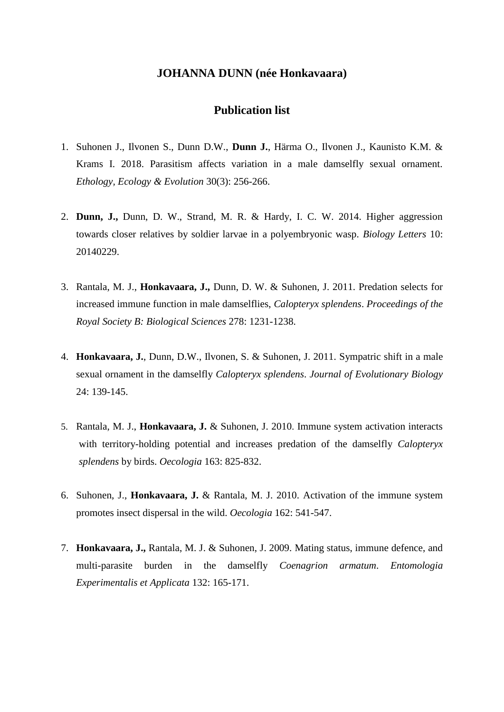## **JOHANNA DUNN (née Honkavaara)**

## **Publication list**

- 1. Suhonen J., Ilvonen S., Dunn D.W., **Dunn J.**, Härma O., Ilvonen J., Kaunisto K.M. & Krams I. 2018. Parasitism affects variation in a male damselfly sexual ornament. *Ethology, Ecology & Evolution* 30(3): 256-266.
- 2. **Dunn, J.,** Dunn, D. W., Strand, M. R. & Hardy, I. C. W. 2014. Higher aggression towards closer relatives by soldier larvae in a polyembryonic wasp. *Biology Letters* 10: 20140229.
- 3. Rantala, M. J., **Honkavaara, J.,** Dunn, D. W. & Suhonen, J. 2011. Predation selects for increased immune function in male damselflies, *Calopteryx splendens*. *Proceedings of the Royal Society B: Biological Sciences* 278: 1231-1238.
- 4. **Honkavaara, J.**, Dunn, D.W., Ilvonen, S. & Suhonen, J. 2011. Sympatric shift in a male sexual ornament in the damselfly *Calopteryx splendens*. *Journal of Evolutionary Biology* 24: 139-145.
- 5. Rantala, M. J., **Honkavaara, J.** & Suhonen, J. 2010. Immune system activation interacts with territory-holding potential and increases predation of the damselfly *Calopteryx splendens* by birds. *Oecologia* 163: 825-832.
- 6. Suhonen, J., **Honkavaara, J.** & Rantala, M. J. 2010. Activation of the immune system promotes insect dispersal in the wild. *Oecologia* 162: 541-547.
- 7. **Honkavaara, J.,** Rantala, M. J. & Suhonen, J. 2009. Mating status, immune defence, and multi-parasite burden in the damselfly *Coenagrion armatum*. *Entomologia Experimentalis et Applicata* 132: 165-171.